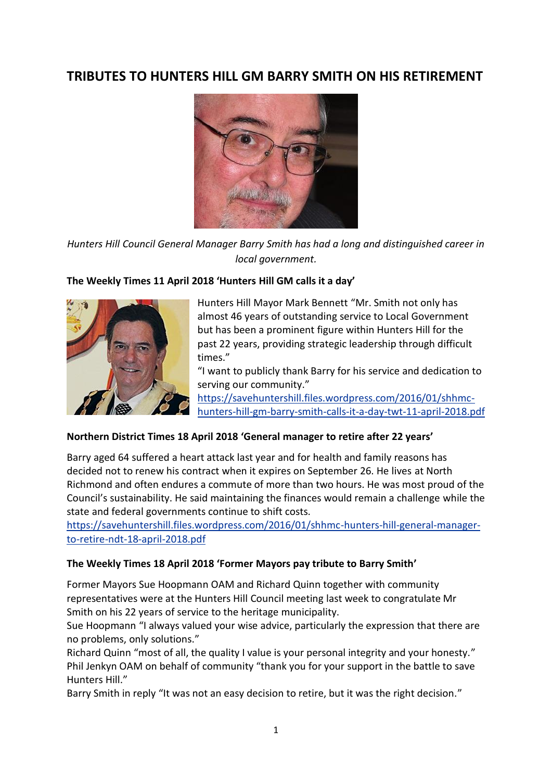# **TRIBUTES TO HUNTERS HILL GM BARRY SMITH ON HIS RETIREMENT**



*Hunters Hill Council General Manager Barry Smith has had a long and distinguished career in local government.*

## **The Weekly Times 11 April 2018 'Hunters Hill GM calls it a day'**



Hunters Hill Mayor Mark Bennett "Mr. Smith not only has almost 46 years of outstanding service to Local Government but has been a prominent figure within Hunters Hill for the past 22 years, providing strategic leadership through difficult times."

"I want to publicly thank Barry for his service and dedication to serving our community."

[https://savehuntershill.files.wordpress.com/2016/01/shhmc](https://savehuntershill.files.wordpress.com/2016/01/shhmc-hunters-hill-gm-barry-smith-calls-it-a-day-twt-11-april-2018.pdf)[hunters-hill-gm-barry-smith-calls-it-a-day-twt-11-april-2018.pdf](https://savehuntershill.files.wordpress.com/2016/01/shhmc-hunters-hill-gm-barry-smith-calls-it-a-day-twt-11-april-2018.pdf)

## **Northern District Times 18 April 2018 'General manager to retire after 22 years'**

Barry aged 64 suffered a heart attack last year and for health and family reasons has decided not to renew his contract when it expires on September 26. He lives at North Richmond and often endures a commute of more than two hours. He was most proud of the Council's sustainability. He said maintaining the finances would remain a challenge while the state and federal governments continue to shift costs.

[https://savehuntershill.files.wordpress.com/2016/01/shhmc-hunters-hill-general-manager](https://savehuntershill.files.wordpress.com/2016/01/shhmc-hunters-hill-general-manager-to-retire-ndt-18-april-2018.pdf)[to-retire-ndt-18-april-2018.pdf](https://savehuntershill.files.wordpress.com/2016/01/shhmc-hunters-hill-general-manager-to-retire-ndt-18-april-2018.pdf)

## **The Weekly Times 18 April 2018 'Former Mayors pay tribute to Barry Smith'**

Former Mayors Sue Hoopmann OAM and Richard Quinn together with community representatives were at the Hunters Hill Council meeting last week to congratulate Mr Smith on his 22 years of service to the heritage municipality.

Sue Hoopmann "I always valued your wise advice, particularly the expression that there are no problems, only solutions."

Richard Quinn "most of all, the quality I value is your personal integrity and your honesty." Phil Jenkyn OAM on behalf of community "thank you for your support in the battle to save Hunters Hill."

Barry Smith in reply "It was not an easy decision to retire, but it was the right decision."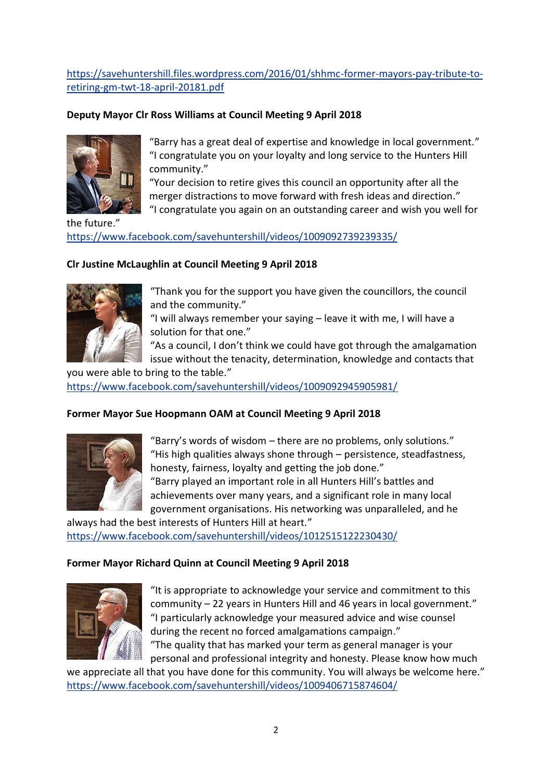[https://savehuntershill.files.wordpress.com/2016/01/shhmc-former-mayors-pay-tribute-to](https://savehuntershill.files.wordpress.com/2016/01/shhmc-former-mayors-pay-tribute-to-retiring-gm-twt-18-april-20181.pdf)[retiring-gm-twt-18-april-20181.pdf](https://savehuntershill.files.wordpress.com/2016/01/shhmc-former-mayors-pay-tribute-to-retiring-gm-twt-18-april-20181.pdf)

## **Deputy Mayor Clr Ross Williams at Council Meeting 9 April 2018**



"Barry has a great deal of expertise and knowledge in local government." "I congratulate you on your loyalty and long service to the Hunters Hill community."

"Your decision to retire gives this council an opportunity after all the merger distractions to move forward with fresh ideas and direction."

"I congratulate you again on an outstanding career and wish you well for

the future." <https://www.facebook.com/savehuntershill/videos/1009092739239335/>

## **Clr Justine McLaughlin at Council Meeting 9 April 2018**



"Thank you for the support you have given the councillors, the council and the community."

"I will always remember your saying – leave it with me, I will have a solution for that one."

"As a council, I don't think we could have got through the amalgamation issue without the tenacity, determination, knowledge and contacts that

you were able to bring to the table." <https://www.facebook.com/savehuntershill/videos/1009092945905981/>

## **Former Mayor Sue Hoopmann OAM at Council Meeting 9 April 2018**



"Barry's words of wisdom – there are no problems, only solutions." "His high qualities always shone through – persistence, steadfastness, honesty, fairness, loyalty and getting the job done." "Barry played an important role in all Hunters Hill's battles and achievements over many years, and a significant role in many local government organisations. His networking was unparalleled, and he

always had the best interests of Hunters Hill at heart." <https://www.facebook.com/savehuntershill/videos/1012515122230430/>

#### **Former Mayor Richard Quinn at Council Meeting 9 April 2018**



"It is appropriate to acknowledge your service and commitment to this community – 22 years in Hunters Hill and 46 years in local government." "I particularly acknowledge your measured advice and wise counsel during the recent no forced amalgamations campaign." "The quality that has marked your term as general manager is your

personal and professional integrity and honesty. Please know how much we appreciate all that you have done for this community. You will always be welcome here."

<https://www.facebook.com/savehuntershill/videos/1009406715874604/>